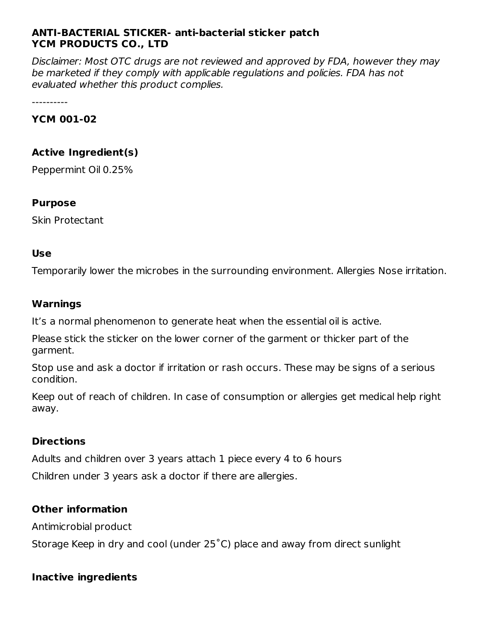### **ANTI-BACTERIAL STICKER- anti-bacterial sticker patch YCM PRODUCTS CO., LTD**

Disclaimer: Most OTC drugs are not reviewed and approved by FDA, however they may be marketed if they comply with applicable regulations and policies. FDA has not evaluated whether this product complies.

----------

#### **YCM 001-02**

# **Active Ingredient(s)**

Peppermint Oil 0.25%

#### **Purpose**

Skin Protectant

#### **Use**

Temporarily lower the microbes in the surrounding environment. Allergies Nose irritation.

#### **Warnings**

It's a normal phenomenon to generate heat when the essential oil is active.

Please stick the sticker on the lower corner of the garment or thicker part of the garment.

Stop use and ask a doctor if irritation or rash occurs. These may be signs of a serious condition.

Keep out of reach of children. In case of consumption or allergies get medical help right away.

#### **Directions**

Adults and children over 3 years attach 1 piece every 4 to 6 hours Children under 3 years ask a doctor if there are allergies.

# **Other information**

Antimicrobial product

Storage Keep in dry and cool (under 25˚C) place and away from direct sunlight

# **Inactive ingredients**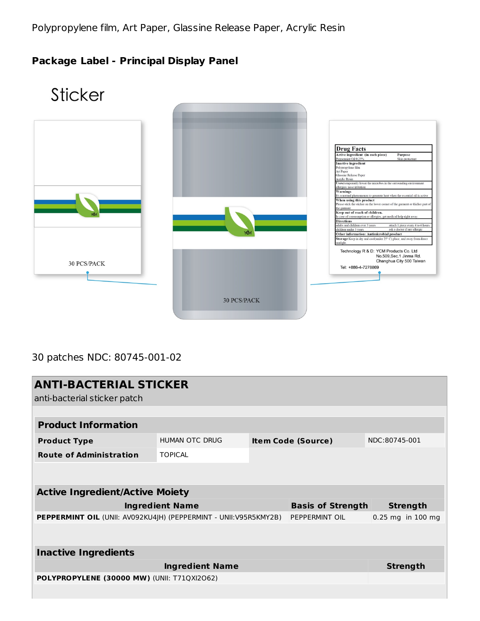# **Package Label - Principal Display Panel**



# 30 patches NDC: 80745-001-02

| <b>ANTI-BACTERIAL STICKER</b><br>anti-bacterial sticker patch    |                       |                           |                          |                   |  |  |  |
|------------------------------------------------------------------|-----------------------|---------------------------|--------------------------|-------------------|--|--|--|
|                                                                  |                       |                           |                          |                   |  |  |  |
| <b>Product Information</b>                                       |                       |                           |                          |                   |  |  |  |
| <b>Product Type</b>                                              | <b>HUMAN OTC DRUG</b> | <b>Item Code (Source)</b> |                          | NDC:80745-001     |  |  |  |
| <b>Route of Administration</b>                                   | <b>TOPICAL</b>        |                           |                          |                   |  |  |  |
|                                                                  |                       |                           |                          |                   |  |  |  |
| <b>Active Ingredient/Active Moiety</b>                           |                       |                           |                          |                   |  |  |  |
| <b>Ingredient Name</b>                                           |                       |                           | <b>Basis of Strength</b> | <b>Strength</b>   |  |  |  |
| PEPPERMINT OIL (UNII: AV092KU4JH) (PEPPERMINT - UNII:V95R5KMY2B) |                       |                           | PEPPERMINT OIL           | 0.25 mg in 100 mg |  |  |  |
|                                                                  |                       |                           |                          |                   |  |  |  |
| <b>Inactive Ingredients</b>                                      |                       |                           |                          |                   |  |  |  |
|                                                                  | <b>Strength</b>       |                           |                          |                   |  |  |  |
| POLYPROPYLENE (30000 MW) (UNII: T71QXI2O62)                      |                       |                           |                          |                   |  |  |  |
|                                                                  |                       |                           |                          |                   |  |  |  |